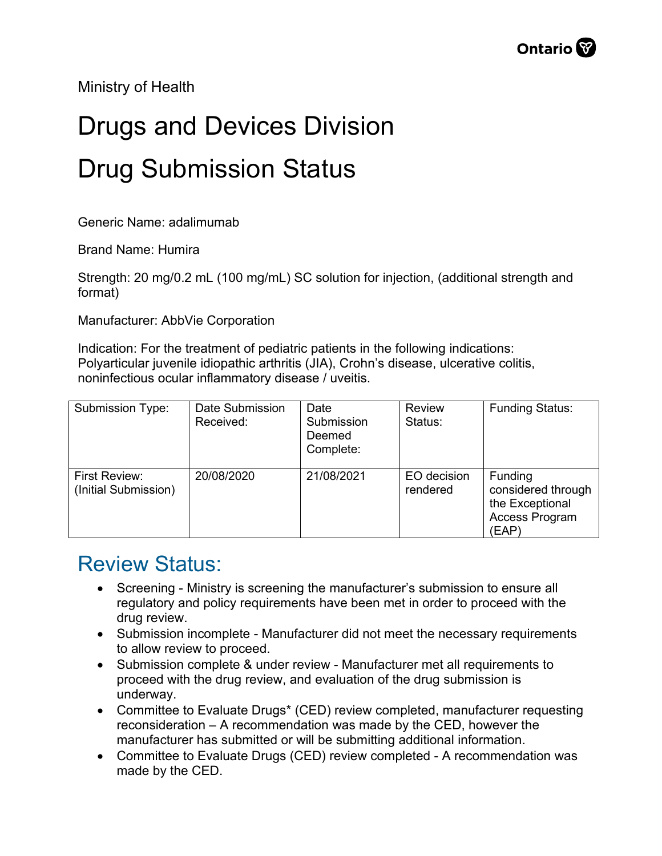Ministry of Health

## Drugs and Devices Division Drug Submission Status

Generic Name: adalimumab

Brand Name: Humira

Strength: 20 mg/0.2 mL (100 mg/mL) SC solution for injection, (additional strength and format)

Manufacturer: AbbVie Corporation

Indication: For the treatment of pediatric patients in the following indications: Polyarticular juvenile idiopathic arthritis (JIA), Crohn's disease, ulcerative colitis, noninfectious ocular inflammatory disease / uveitis.

| Submission Type:                      | Date Submission<br>Received: | Date<br>Submission<br>Deemed<br>Complete: | <b>Review</b><br>Status: | <b>Funding Status:</b>                                                      |
|---------------------------------------|------------------------------|-------------------------------------------|--------------------------|-----------------------------------------------------------------------------|
| First Review:<br>(Initial Submission) | 20/08/2020                   | 21/08/2021                                | EO decision<br>rendered  | Funding<br>considered through<br>the Exceptional<br>Access Program<br>(EAP) |

## Review Status:

- Screening Ministry is screening the manufacturer's submission to ensure all regulatory and policy requirements have been met in order to proceed with the drug review.
- Submission incomplete Manufacturer did not meet the necessary requirements to allow review to proceed.
- Submission complete & under review Manufacturer met all requirements to proceed with the drug review, and evaluation of the drug submission is underway.
- Committee to Evaluate Drugs\* (CED) review completed, manufacturer requesting reconsideration – A recommendation was made by the CED, however the manufacturer has submitted or will be submitting additional information.
- Committee to Evaluate Drugs (CED) review completed A recommendation was made by the CED.